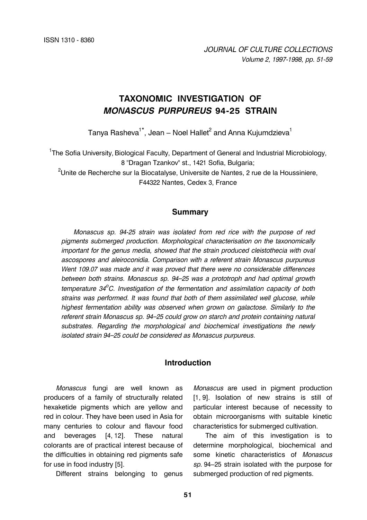# **TAXONOMIC INVESTIGATION OF**  *MONASCUS PURPUREUS* **94-25 STRAIN**

Tanya Rasheva $^{\text{1}\star}$ , Jean – Noel Hallet $^{\text{2}}$  and Anna Kujumdzieva $^{\text{1}}$ 

<sup>1</sup>The Sofia University, Biological Faculty, Department of General and Industrial Microbiology, 8 "Dragan Tzankov" st., 1421 Sofia, Bulgaria;

 $^{2}$ Unite de Recherche sur la Biocatalyse, Universite de Nantes, 2 rue de la Houssiniere, F44322 Nantes, Cedex 3, France

#### **Summary**

*Monascus sp. 94-25 strain was isolated from red rice with the purpose of red pigments submerged production. Morphological characterisation on the taxonomically important for the genus media, showed that the strain produced cleistothecia with oval ascospores and aleiroconidia. Comparison with a referent strain Monascus purpureus Went 109.07 was made and it was proved that there were no considerable differences between both strains. Monascus sp. 94–25 was a prototroph and had optimal growth*  temperature 34<sup>°</sup>C. Investigation of the fermentation and assimilation capacity of both *strains was performed. It was found that both of them assimilated well glucose, while highest fermentation ability was observed when grown on galactose. Similarly to the referent strain Monascus sp. 94–25 could grow on starch and protein containing natural substrates. Regarding the morphological and biochemical investigations the newly isolated strain 94–25 could be considered as Monascus purpureus.*

### **Introduction**

*Monascus* fungi are well known as producers of a family of structurally related hexaketide pigments which are yellow and red in colour. They have been used in Asia for many centuries to colour and flavour food and beverages [4, 12]. These natural colorants are of practical interest because of the difficulties in obtaining red pigments safe for use in food industry [5].

Different strains belonging to genus

*Monascus* are used in pigment production [1, 9]. Isolation of new strains is still of particular interest because of necessity to obtain microorganisms with suitable kinetic characteristics for submerged cultivation.

The aim of this investigation is to determine morphological, biochemical and some kinetic characteristics of *Monascus sp.* 94–25 strain isolated with the purpose for submerged production of red pigments.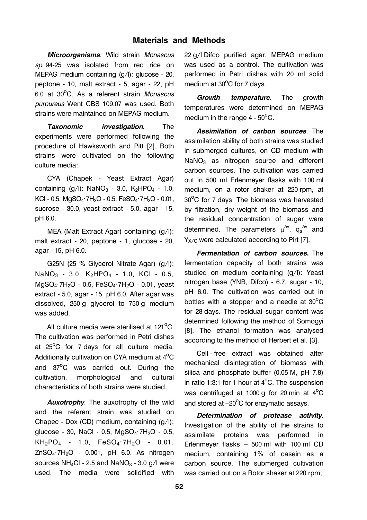# **Materials and Methods**

*Microorganisms*. Wild strain *Monascus sp*. 94-25 was isolated from red rice on MEPAG medium containing (g/l): glucose - 20, peptone - 10, malt extract - 5, agar - 22, pH 6.0 at 30<sup>o</sup>C. As a referent strain *Monascus purpureus* Went CBS 109.07 was used. Both strains were maintained on MEPAG medium.

*Taxonomic investigation*. The experiments were performed following the procedure of Hawksworth and Pitt [2]. Both strains were cultivated on the following culture media:

CYA (Chapek - Yeast Extract Agar) containing  $(q/l)$ : NaNO<sub>3</sub> - 3.0, K<sub>2</sub>HPO<sub>4</sub> - 1.0, KCl - 0.5,  $MqSO_4$ ·7H<sub>2</sub>O - 0.5,  $FeSO_4$ ·7H<sub>2</sub>O - 0.01, sucrose - 30.0, yeast extract - 5.0, agar - 15, pH 6.0.

MEA (Malt Extract Agar) containing (g/l): malt extract - 20, peptone - 1, glucose - 20, agar - 15, pH 6.0.

G25N (25 % Glycerol Nitrate Agar) (g/l):  $NaNO<sub>3</sub> - 3.0$ ,  $K<sub>2</sub>HPO<sub>4</sub> - 1.0$ ,  $KCI - 0.5$ ,  $MqSO_4$ ·7H<sub>2</sub>O - 0.5, FeSO<sub>4</sub>·7H<sub>2</sub>O - 0.01, yeast extract - 5.0, agar - 15, pH 6.0. After agar was dissolved, 250 g glycerol to 750 g medium was added.

All culture media were sterilised at 121 $\rm ^{o}C.$ The cultivation was performed in Petri dishes at  $25^{\circ}$ C for 7 days for all culture media. Additionally cultivation on CYA medium at  $4^{\circ}$ C and 37<sup>o</sup>C was carried out. During the cultivation, morphological and cultural characteristics of both strains were studied.

*Auxotrophy*. The auxotrophy of the wild and the referent strain was studied on Chapec - Dox (CD) medium, containing (g/l): glucose - 30, NaCl - 0.5, MgSO<sub>4</sub>·7H<sub>2</sub>O - 0.5,  $KH_2PO_4$  - 1.0,  $FeSO_4 \cdot 7H_2O$  - 0.01.  $ZnSO<sub>4</sub>·7H<sub>2</sub>O - 0.001$ , pH 6.0. As nitrogen sources NH<sub>4</sub>Cl - 2.5 and NaNO<sub>3</sub> - 3.0  $q/l$  were used. The media were solidified with 22 g/l Difco purified agar. MEPAG medium was used as a control. The cultivation was performed in Petri dishes with 20 ml solid medium at  $30^{\circ}$ C for 7 days.

*Growth temperature*. The growth temperatures were determined on MEPAG medium in the range  $4$  -  $50^{\circ}$ C.

*Assimilation of carbon sources*. The assimilation ability of both strains was studied in submerged cultures, on CD medium with NaNO<sub>3</sub> as nitrogen source and different carbon sources. The cultivation was carried out in 500 ml Erlenmeyer flasks with 100 ml medium, on a rotor shaker at 220 rpm, at  $30^{\circ}$ C for 7 days. The biomass was harvested by filtration, dry weight of the biomass and the residual concentration of sugar were determined. The parameters  $\mu^{\text{av}}$ ,  $\mathsf{q_s}^{\text{av}}$  and Y<sub>x/C</sub> were calculated according to Pirt [7].

*Fermentation of carbon sources***.** The fermentation capacity of both strains was studied on medium containing (g/l): Yeast nitrogen base (YNB, Difco) - 6.7, sugar - 10, pH 6.0. The cultivation was carried out in bottles with a stopper and a needle at  $30^{\circ}$ C for 28 days. The residual sugar content was determined following the method of Somogyi [8]. The ethanol formation was analysed according to the method of Herbert et al. [3].

Cell - free extract was obtained after mechanical disintegration of biomass with silica and phosphate buffer (0.05 M, pH 7.8) in ratio 1:3:1 for 1 hour at  $4^{\circ}$ C. The suspension was centrifuged at 1000 g for 20 min at  $4^{\circ}$ C and stored at  $-20^{\circ}$ C for enzymatic assays.

*Determination of protease activity***.** Investigation of the ability of the strains to assimilate proteins was performed in Erlenmeyer flasks – 500 ml with 100 ml CD medium, containing 1% of casein as a carbon source. The submerged cultivation was carried out on a Rotor shaker at 220 rpm,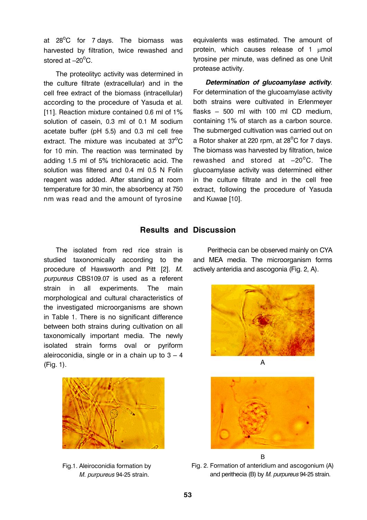at  $28^{\circ}$ C for 7 days. The biomass was harvested by filtration, twice rewashed and stored at  $-20^{\circ}$ C.

The proteolityc activity was determined in the culture filtrate (extracellular) and in the cell free extract of the biomass (intracellular) according to the procedure of Yasuda et al. [11]. Reaction mixture contained 0.6 ml of 1% solution of casein, 0.3 ml of 0.1 M sodium acetate buffer (pH 5.5) and 0.3 ml cell free extract. The mixture was incubated at  $37^{\circ}$ C for 10 min. The reaction was terminated by adding 1.5 ml of 5% trichloracetic acid. The solution was filtered and 0.4 ml 0.5 N Folin reagent was added. After standing at room temperature for 30 min, the absorbency at 750 nm was read and the amount of tyrosine

equivalents was estimated. The amount of protein, which causes release of 1 µmol tyrosine per minute, was defined as one Unit protease activity.

*Determination of glucoamylase activity*. For determination of the glucoamylase activity both strains were cultivated in Erlenmeyer flasks – 500 ml with 100 ml CD medium, containing 1% of starch as a carbon source. The submerged cultivation was carried out on a Rotor shaker at 220 rpm, at 28 $^{\circ}$ C for 7 days. The biomass was harvested by filtration, twice rewashed and stored at  $-20^{\circ}$ C. The glucoamylase activity was determined either in the culture filtrate and in the cell free extract, following the procedure of Yasuda and Kuwae [10].

## **Results and Discussion**

The isolated from red rice strain is studied taxonomically according to the procedure of Hawsworth and Pitt [2]. *M. purpureus* CBS109.07 is used as a referent strain in all experiments. The main morphological and cultural characteristics of the investigated microorganisms are shown in Table 1. There is no significant difference between both strains during cultivation on all taxonomically important media. The newly isolated strain forms oval or pyriform aleiroconidia, single or in a chain up to  $3 - 4$ (Fig. 1).



 Fig.1. Aleiroconidia formation by *M. purpureus* 94-25 strain.

 Perithecia can be observed mainly on CYA and MEA media. The microorganism forms actively anteridia and ascogonia (Fig. 2, A).





Fig. 2. Formation of anteridium and ascogonium (A) and perithecia (B) by *M. purpureus* 94-25 strain.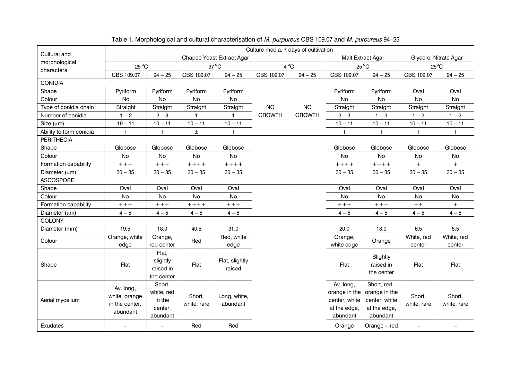|                             |                                                          | Culture media, 7 days of cultivation                  |                       |                           |                |               |                                                                         |                                                                            |                              |                       |
|-----------------------------|----------------------------------------------------------|-------------------------------------------------------|-----------------------|---------------------------|----------------|---------------|-------------------------------------------------------------------------|----------------------------------------------------------------------------|------------------------------|-----------------------|
| Cultural and                |                                                          |                                                       |                       | Chapec Yeast Extract Agar |                |               | Malt Extract Agar                                                       |                                                                            | <b>Glycerol Nitrate Agar</b> |                       |
| morphological<br>characters |                                                          | $25^{\circ}$ C<br>$4^{\circ}$ C<br>$37^{\circ}$ C     |                       |                           | $25^{\circ}$ C |               | $25^{\circ}$ C                                                          |                                                                            |                              |                       |
|                             | CBS 109.07                                               | $94 - 25$                                             | CBS 109.07            | $94 - 25$                 | CBS 109.07     | $94 - 25$     | CBS 109.07                                                              | $94 - 25$                                                                  | CBS 109.07                   | $94 - 25$             |
| <b>CONIDIA</b>              |                                                          |                                                       |                       |                           |                |               |                                                                         |                                                                            |                              |                       |
| Shape                       | Pyriform                                                 | Pyriform                                              | Pyriform              | Pyriform                  |                |               | Pyriform                                                                | Pyriform                                                                   | Oval                         | Oval                  |
| Colour                      | <b>No</b>                                                | <b>No</b>                                             | <b>No</b>             | <b>No</b>                 |                |               | <b>No</b>                                                               | <b>No</b>                                                                  | No                           | <b>No</b>             |
| Type of conidia chain       | Straight                                                 | Straight                                              | Straight              | Straight                  | <b>NO</b>      | <b>NO</b>     | Straight                                                                | Straight                                                                   | Straight                     | Straight              |
| Number of conidia           | $1 - 2$                                                  | $2 - 3$                                               | $\mathbf{1}$          | $\mathbf{1}$              | <b>GROWTH</b>  | <b>GROWTH</b> | $2 - 3$                                                                 | $1 - 3$                                                                    | $1 - 2$                      | $1 - 2$               |
| Size $(\mu m)$              | $10 - 11$                                                | $10 - 11$                                             | $10 - 11$             | $10 - 11$                 |                |               | $10 - 11$                                                               | $10 - 11$                                                                  | $10 - 11$                    | $10 - 11$             |
| Ability to form conidia     | $+$                                                      | $+$                                                   | $\pm$                 | $\ddot{}$                 |                |               | $\qquad \qquad +$                                                       | $+$                                                                        | $^{+}$                       | $+$                   |
| <b>PERITHECIA</b>           |                                                          |                                                       |                       |                           |                |               |                                                                         |                                                                            |                              |                       |
| Shape                       | Globose                                                  | Globose                                               | Globose               | Globose                   |                |               | Globose                                                                 | Globose                                                                    | Globose                      | Globose               |
| Colour                      | No                                                       | No                                                    | No                    | No                        |                |               | No                                                                      | No                                                                         | No                           | No                    |
| Formation capability        | $++++$                                                   | $++++$                                                | $+++++$               | $++++$                    |                |               | $+++++$                                                                 | $++++$                                                                     | $+$                          | $+$                   |
| Diameter (µm)               | $30 - 35$                                                | $30 - 35$                                             | $30 - 35$             | $30 - 35$                 |                |               | $30 - 35$                                                               | $30 - 35$                                                                  | $30 - 35$                    | $30 - 35$             |
| <b>ASCOSPORE</b>            |                                                          |                                                       |                       |                           |                |               |                                                                         |                                                                            |                              |                       |
| Shape                       | Oval                                                     | Oval                                                  | Oval                  | Oval                      |                |               | Oval                                                                    | Oval                                                                       | Oval                         | Oval                  |
| Colour                      | No                                                       | No                                                    | No                    | No                        |                |               | No                                                                      | No                                                                         | No                           | No                    |
| Formation capability        | $++++$                                                   | $++++$                                                | $++++$                | $++++$                    |                |               | $++++$                                                                  | $++++$                                                                     | $++$                         | $+$                   |
| Diameter (µm)               | $4 - 5$                                                  | $4 - 5$                                               | $4 - 5$               | $4 - 5$                   |                |               | $4 - 5$                                                                 | $4 - 5$                                                                    | $4 - 5$                      | $4 - 5$               |
| COLONY                      |                                                          |                                                       |                       |                           |                |               |                                                                         |                                                                            |                              |                       |
| Diameter (mm)               | 19.5                                                     | 18.0                                                  | 40.5                  | 31.0                      |                |               | 20.0                                                                    | 18.0                                                                       | 6.5                          | 5.5                   |
| Colour                      | Orange, white<br>edge                                    | Orange,<br>red center                                 | Red                   | Red, white<br>edge        |                |               | Orange,<br>white edge                                                   | Orange                                                                     | White, red<br>center         | White, red<br>center  |
| Shape                       | Flat                                                     | Flat,<br>slightly<br>raised in<br>the center          | Flat                  | Flat, slightly<br>raised  |                |               | Flat                                                                    | Slightly<br>raised in<br>the center                                        | Flat                         | Flat                  |
| Aerial mycelium             | Av. long,<br>white, orange<br>in the center,<br>abundant | Short.<br>white, red<br>in the<br>center,<br>abundant | Short,<br>white, rare | Long, white,<br>abundant  |                |               | Av. long,<br>orange in the<br>center, white<br>at the edge,<br>abundant | Short, red -<br>orange in the<br>center, white<br>at the edge,<br>abundant | Short,<br>white, rare        | Short,<br>white, rare |
| Exudates                    |                                                          | $\qquad \qquad -$                                     | Red                   | Red                       |                |               | Orange                                                                  | Orange - red                                                               | $\qquad \qquad -$            |                       |

## Table 1. Morphological and cultural characterisation of *M. purpureus* CBS 109.07 and *M. purpureus* 94–25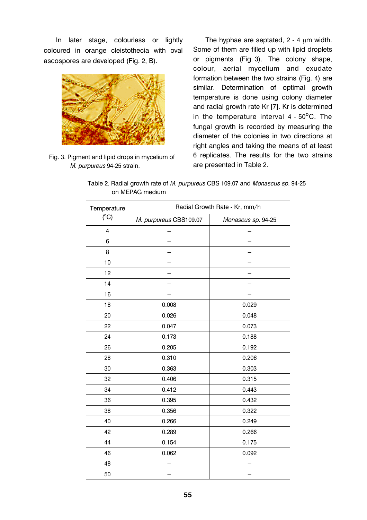In later stage, colourless or lightly coloured in orange cleistothecia with oval ascospores are developed (Fig. 2, B).



Fig. 3. Pigment and lipid drops in mycelium of *M. purpureus* 94-25 strain.

The hyphae are septated,  $2 - 4 \mu m$  width. Some of them are filled up with lipid droplets or pigments (Fig. 3). The colony shape, colour, aerial mycelium and exudate formation between the two strains (Fig. 4) are similar. Determination of optimal growth temperature is done using colony diameter and radial growth rate Kr [7]. Kr is determined in the temperature interval  $4$  -  $50^{\circ}$ C. The fungal growth is recorded by measuring the diameter of the colonies in two directions at right angles and taking the means of at least 6 replicates. The results for the two strains are presented in Table 2.

| Table 2. Radial growth rate of <i>M. purpureus</i> CBS 109.07 and <i>Monascus sp</i> . 94-25 |  |  |  |  |
|----------------------------------------------------------------------------------------------|--|--|--|--|
| on MEPAG medium                                                                              |  |  |  |  |

| Temperature    | Radial Growth Rate - Kr, mm/h |                    |  |  |  |
|----------------|-------------------------------|--------------------|--|--|--|
| (C)            | M. purpureus CBS109.07        | Monascus sp. 94-25 |  |  |  |
| $\overline{4}$ |                               |                    |  |  |  |
| 6              |                               |                    |  |  |  |
| 8              |                               |                    |  |  |  |
| 10             |                               |                    |  |  |  |
| 12             |                               |                    |  |  |  |
| 14             |                               |                    |  |  |  |
| 16             |                               |                    |  |  |  |
| 18             | 0.008                         | 0.029              |  |  |  |
| 20             | 0.026                         | 0.048              |  |  |  |
| 22             | 0.047                         | 0.073              |  |  |  |
| 24             | 0.173                         | 0.188              |  |  |  |
| 26             | 0.205                         | 0.192              |  |  |  |
| 28             | 0.310                         | 0.206              |  |  |  |
| 30             | 0.363                         | 0.303              |  |  |  |
| 32             | 0.406                         | 0.315              |  |  |  |
| 34             | 0.412                         | 0.443              |  |  |  |
| 36             | 0.395                         | 0.432              |  |  |  |
| 38             | 0.356                         | 0.322              |  |  |  |
| 40             | 0.266                         | 0.249              |  |  |  |
| 42             | 0.289                         | 0.266              |  |  |  |
| 44             | 0.154                         | 0.175              |  |  |  |
| 46             | 0.062                         | 0.092              |  |  |  |
| 48             |                               |                    |  |  |  |
| 50             |                               |                    |  |  |  |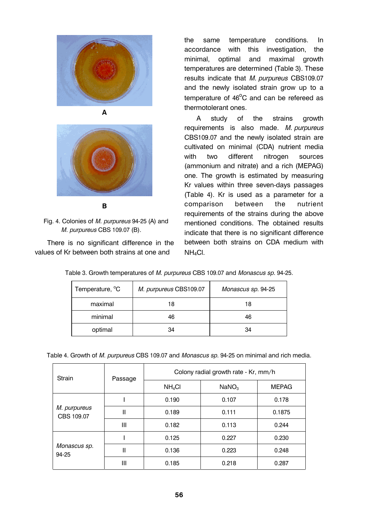



**B** 

 Fig. 4. Colonies of *M. purpureus* 94-25 (A) and *M. purpureus* CBS 109.07 (B).

There is no significant difference in the values of Kr between both strains at one and

the same temperature conditions. In accordance with this investigation, the minimal, optimal and maximal growth temperatures are determined (Table 3). These results indicate that *M. purpureus* CBS109.07 and the newly isolated strain grow up to a temperature of  $46^{\circ}$ C and can be refereed as thermotolerant ones.

A study of the strains growth requirements is also made*. M. purpureus* CBS109.07 and the newly isolated strain are cultivated on minimal (CDA) nutrient media with two different nitrogen sources (ammonium and nitrate) and a rich (MEPAG) one. The growth is estimated by measuring Kr values within three seven-days passages (Table 4). Kr is used as a parameter for a comparison between the nutrient requirements of the strains during the above mentioned conditions. The obtained results indicate that there is no significant difference between both strains on CDA medium with NH4Cl.

Table 3. Growth temperatures of *M. purpureus* CBS 109.07 and *Monascus sp*. 94-25.

| Temperature, <sup>o</sup> C | M. purpureus CBS109.07 | Monascus sp. 94-25 |
|-----------------------------|------------------------|--------------------|
| maximal                     | 18                     | 18                 |
| minimal                     | 46                     | 46                 |
| optimal                     | 34                     | 34                 |

|  |  |  | Table 4. Growth of M. purpureus CBS 109.07 and Monascus sp. 94-25 on minimal and rich media. |
|--|--|--|----------------------------------------------------------------------------------------------|
|  |  |  |                                                                                              |
|  |  |  |                                                                                              |

| Strain                     | Passage | Colony radial growth rate - Kr, mm/h |                   |              |  |  |
|----------------------------|---------|--------------------------------------|-------------------|--------------|--|--|
|                            |         | $NH_4Cl$                             | NaNO <sub>3</sub> | <b>MEPAG</b> |  |  |
|                            |         | 0.190                                | 0.107             | 0.178        |  |  |
| M. purpureus<br>CBS 109.07 | II      | 0.189                                | 0.111             | 0.1875       |  |  |
|                            | Ш       | 0.182                                | 0.113             | 0.244        |  |  |
|                            |         | 0.125                                | 0.227             | 0.230        |  |  |
| Monascus sp.<br>94-25      | Ш       | 0.136                                | 0.223             | 0.248        |  |  |
|                            | Ш       | 0.185                                | 0.218             | 0.287        |  |  |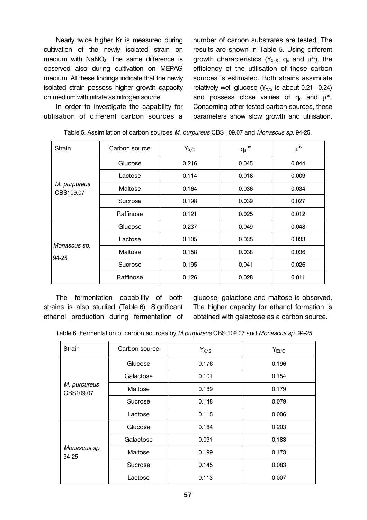Nearly twice higher Kr is measured during cultivation of the newly isolated strain on medium with  $NaN<sub>3</sub>$ . The same difference is observed also during cultivation on MEPAG medium. All these findings indicate that the newly isolated strain possess higher growth capacity on medium with nitrate as nitrogen source.

In order to investigate the capability for utilisation of different carbon sources a number of carbon substrates are tested. The results are shown in Table 5. Using different growth characteristics ( $Y_{X/S}$ ,  $q_s$  and  $\mu^{av}$ ), the efficiency of the utilisation of these carbon sources is estimated. Both strains assimilate relatively well glucose  $(Y_{X/S}$  is about 0.21 - 0.24) and possess close values of  $q_s$  and  $\mu^{av}$ . Concerning other tested carbon sources, these parameters show slow growth and utilisation.

| <b>Strain</b>             | Carbon source | $Y_{X/C}$ | $q_s^{av}$ | $\mu^\text{av}$ |
|---------------------------|---------------|-----------|------------|-----------------|
|                           | Glucose       | 0.216     | 0.045      | 0.044           |
| M. purpureus<br>CBS109.07 | Lactose       | 0.114     | 0.018      | 0.009           |
|                           | Maltose       | 0.164     | 0.036      | 0.034           |
|                           | Sucrose       | 0.198     | 0.039      | 0.027           |
|                           | Raffinose     | 0.121     | 0.025      | 0.012           |
|                           | Glucose       | 0.237     | 0.049      | 0.048           |
| Monascus sp.<br>94-25     | Lactose       | 0.105     | 0.035      | 0.033           |
|                           | Maltose       | 0.158     | 0.038      | 0.036           |
|                           | Sucrose       | 0.195     | 0.041      | 0.026           |
|                           | Raffinose     | 0.126     | 0.028      | 0.011           |

| Table 5. Assimilation of carbon sources M. purpureus CBS 109.07 and Monascus sp. 94-25. |
|-----------------------------------------------------------------------------------------|
|-----------------------------------------------------------------------------------------|

The fermentation capability of both strains is also studied (Table 6). Significant ethanol production during fermentation of

glucose, galactose and maltose is observed. The higher capacity for ethanol formation is obtained with galactose as a carbon source.

Table 6. Fermentation of carbon sources by *M.purpureus* CBS 109.07 and *Monascus sp*. 94-25

| Strain                                             | Carbon source | $Y_{X/S}$ | $Y_{Et/C}$ |
|----------------------------------------------------|---------------|-----------|------------|
| M. purpureus<br>CBS109.07<br>Monascus sp.<br>94-25 | Glucose       | 0.176     | 0.196      |
|                                                    | Galactose     | 0.101     | 0.154      |
|                                                    | Maltose       | 0.189     | 0.179      |
|                                                    | Sucrose       | 0.148     | 0.079      |
|                                                    | Lactose       | 0.115     | 0.006      |
|                                                    | Glucose       | 0.184     | 0.203      |
|                                                    | Galactose     | 0.091     | 0.183      |
|                                                    | Maltose       | 0.199     | 0.173      |
|                                                    | Sucrose       | 0.145     | 0.083      |
|                                                    | Lactose       | 0.113     | 0.007      |